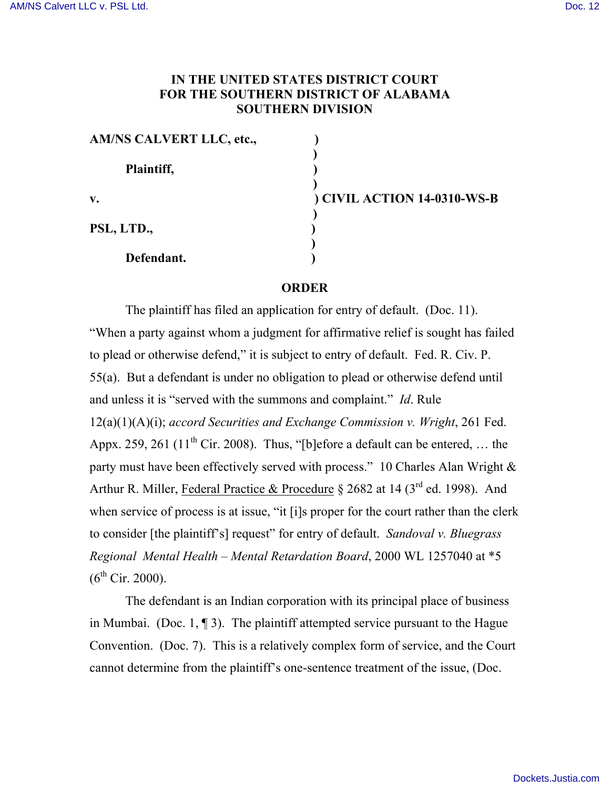## **IN THE UNITED STATES DISTRICT COURT FOR THE SOUTHERN DISTRICT OF ALABAMA SOUTHERN DIVISION**

| AM/NS CALVERT LLC, etc., |  |
|--------------------------|--|
| Plaintiff,               |  |
| $\mathbf{v}$ .           |  |
| PSL, LTD.,               |  |
| Defendant.               |  |

**v. ) CIVIL ACTION 14-0310-WS-B**

## **ORDER**

The plaintiff has filed an application for entry of default. (Doc. 11). "When a party against whom a judgment for affirmative relief is sought has failed to plead or otherwise defend," it is subject to entry of default. Fed. R. Civ. P. 55(a). But a defendant is under no obligation to plead or otherwise defend until and unless it is "served with the summons and complaint." *Id*. Rule 12(a)(1)(A)(i); *accord Securities and Exchange Commission v. Wright*, 261 Fed. Appx. 259, 261 ( $11<sup>th</sup>$  Cir. 2008). Thus, "[b]efore a default can be entered, ... the party must have been effectively served with process." 10 Charles Alan Wright & Arthur R. Miller, Federal Practice & Procedure § 2682 at 14 ( $3<sup>rd</sup>$  ed. 1998). And when service of process is at issue, "it [i]s proper for the court rather than the clerk to consider [the plaintiff's] request" for entry of default. *Sandoval v. Bluegrass Regional Mental Health – Mental Retardation Board*, 2000 WL 1257040 at \*5  $(6^{th}$  Cir. 2000).

The defendant is an Indian corporation with its principal place of business in Mumbai. (Doc. 1,  $\P$ 3). The plaintiff attempted service pursuant to the Hague Convention. (Doc. 7). This is a relatively complex form of service, and the Court cannot determine from the plaintiff's one-sentence treatment of the issue, (Doc.